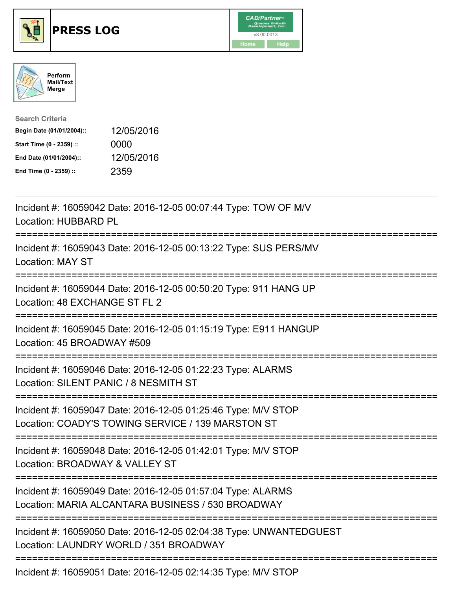





| <b>Search Criteria</b>    |            |
|---------------------------|------------|
| Begin Date (01/01/2004):: | 12/05/2016 |
| Start Time (0 - 2359) ::  | 0000       |
| End Date (01/01/2004)::   | 12/05/2016 |
| End Time (0 - 2359) ::    | 2359       |

| Incident #: 16059042 Date: 2016-12-05 00:07:44 Type: TOW OF M/V<br>Location: HUBBARD PL                                                                |
|--------------------------------------------------------------------------------------------------------------------------------------------------------|
| Incident #: 16059043 Date: 2016-12-05 00:13:22 Type: SUS PERS/MV<br><b>Location: MAY ST</b><br>--------------                                          |
| Incident #: 16059044 Date: 2016-12-05 00:50:20 Type: 911 HANG UP<br>Location: 48 EXCHANGE ST FL 2                                                      |
| Incident #: 16059045 Date: 2016-12-05 01:15:19 Type: E911 HANGUP<br>Location: 45 BROADWAY #509<br>------------                                         |
| Incident #: 16059046 Date: 2016-12-05 01:22:23 Type: ALARMS<br>Location: SILENT PANIC / 8 NESMITH ST                                                   |
| Incident #: 16059047 Date: 2016-12-05 01:25:46 Type: M/V STOP<br>Location: COADY'S TOWING SERVICE / 139 MARSTON ST<br>================================ |
| Incident #: 16059048 Date: 2016-12-05 01:42:01 Type: M/V STOP<br>Location: BROADWAY & VALLEY ST<br>;========================                           |
| Incident #: 16059049 Date: 2016-12-05 01:57:04 Type: ALARMS<br>Location: MARIA ALCANTARA BUSINESS / 530 BROADWAY                                       |
| Incident #: 16059050 Date: 2016-12-05 02:04:38 Type: UNWANTEDGUEST<br>Location: LAUNDRY WORLD / 351 BROADWAY                                           |
| Incident #: 16059051 Date: 2016-12-05 02:14:35 Type: M/V STOP                                                                                          |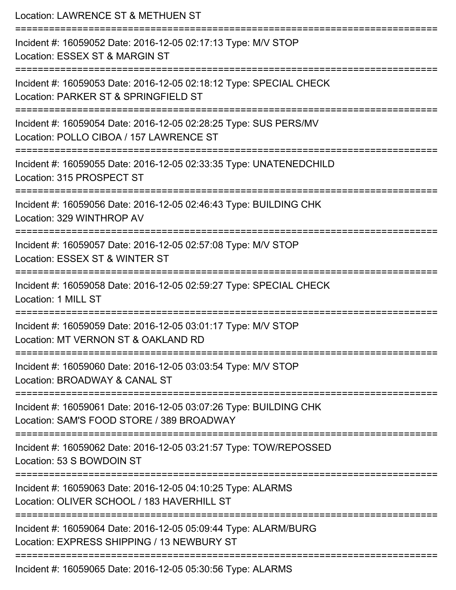| Location: LAWRENCE ST & METHUEN ST                                                                                                      |
|-----------------------------------------------------------------------------------------------------------------------------------------|
| Incident #: 16059052 Date: 2016-12-05 02:17:13 Type: M/V STOP<br>Location: ESSEX ST & MARGIN ST                                         |
| Incident #: 16059053 Date: 2016-12-05 02:18:12 Type: SPECIAL CHECK<br>Location: PARKER ST & SPRINGFIELD ST                              |
| Incident #: 16059054 Date: 2016-12-05 02:28:25 Type: SUS PERS/MV<br>Location: POLLO CIBOA / 157 LAWRENCE ST<br>:======================= |
| Incident #: 16059055 Date: 2016-12-05 02:33:35 Type: UNATENEDCHILD<br>Location: 315 PROSPECT ST                                         |
| Incident #: 16059056 Date: 2016-12-05 02:46:43 Type: BUILDING CHK<br>Location: 329 WINTHROP AV<br>.===================                  |
| Incident #: 16059057 Date: 2016-12-05 02:57:08 Type: M/V STOP<br>Location: ESSEX ST & WINTER ST                                         |
| Incident #: 16059058 Date: 2016-12-05 02:59:27 Type: SPECIAL CHECK<br>Location: 1 MILL ST                                               |
| Incident #: 16059059 Date: 2016-12-05 03:01:17 Type: M/V STOP<br>Location: MT VERNON ST & OAKLAND RD                                    |
| Incident #: 16059060 Date: 2016-12-05 03:03:54 Type: M/V STOP<br>Location: BROADWAY & CANAL ST                                          |
| Incident #: 16059061 Date: 2016-12-05 03:07:26 Type: BUILDING CHK<br>Location: SAM'S FOOD STORE / 389 BROADWAY                          |
| Incident #: 16059062 Date: 2016-12-05 03:21:57 Type: TOW/REPOSSED<br>Location: 53 S BOWDOIN ST                                          |
| Incident #: 16059063 Date: 2016-12-05 04:10:25 Type: ALARMS<br>Location: OLIVER SCHOOL / 183 HAVERHILL ST                               |
| Incident #: 16059064 Date: 2016-12-05 05:09:44 Type: ALARM/BURG<br>Location: EXPRESS SHIPPING / 13 NEWBURY ST                           |
| Incident #: 16059065 Date: 2016-12-05 05:30:56 Type: ALARMS                                                                             |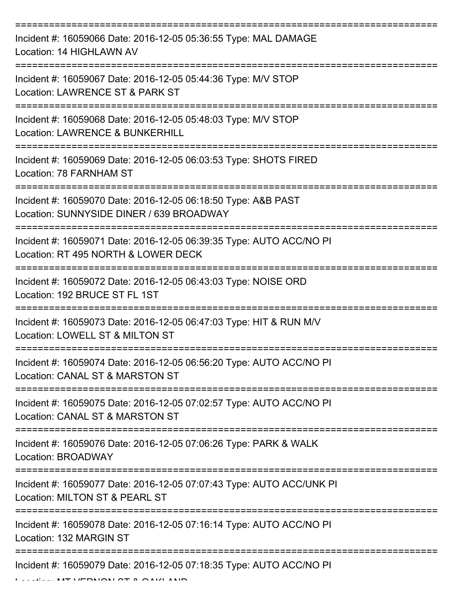| Incident #: 16059066 Date: 2016-12-05 05:36:55 Type: MAL DAMAGE<br>Location: 14 HIGHLAWN AV                 |
|-------------------------------------------------------------------------------------------------------------|
| Incident #: 16059067 Date: 2016-12-05 05:44:36 Type: M/V STOP<br>Location: LAWRENCE ST & PARK ST            |
| Incident #: 16059068 Date: 2016-12-05 05:48:03 Type: M/V STOP<br><b>Location: LAWRENCE &amp; BUNKERHILL</b> |
| Incident #: 16059069 Date: 2016-12-05 06:03:53 Type: SHOTS FIRED<br>Location: 78 FARNHAM ST                 |
| Incident #: 16059070 Date: 2016-12-05 06:18:50 Type: A&B PAST<br>Location: SUNNYSIDE DINER / 639 BROADWAY   |
| Incident #: 16059071 Date: 2016-12-05 06:39:35 Type: AUTO ACC/NO PI<br>Location: RT 495 NORTH & LOWER DECK  |
| Incident #: 16059072 Date: 2016-12-05 06:43:03 Type: NOISE ORD<br>Location: 192 BRUCE ST FL 1ST             |
| Incident #: 16059073 Date: 2016-12-05 06:47:03 Type: HIT & RUN M/V<br>Location: LOWELL ST & MILTON ST       |
| Incident #: 16059074 Date: 2016-12-05 06:56:20 Type: AUTO ACC/NO PI<br>Location: CANAL ST & MARSTON ST      |
| Incident #: 16059075 Date: 2016-12-05 07:02:57 Type: AUTO ACC/NO PI<br>Location: CANAL ST & MARSTON ST      |
| Incident #: 16059076 Date: 2016-12-05 07:06:26 Type: PARK & WALK<br>Location: BROADWAY                      |
| Incident #: 16059077 Date: 2016-12-05 07:07:43 Type: AUTO ACC/UNK PI<br>Location: MILTON ST & PEARL ST      |
| Incident #: 16059078 Date: 2016-12-05 07:16:14 Type: AUTO ACC/NO PI<br>Location: 132 MARGIN ST              |
| Incident #: 16059079 Date: 2016-12-05 07:18:35 Type: AUTO ACC/NO PI<br>MT UFBUON OT A QAIZI AN              |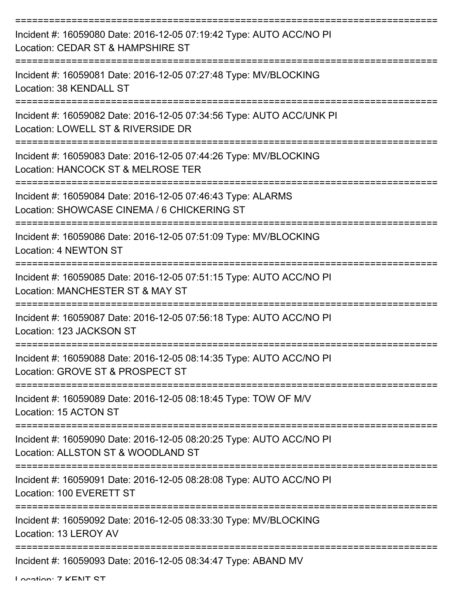| Incident #: 16059080 Date: 2016-12-05 07:19:42 Type: AUTO ACC/NO PI<br>Location: CEDAR ST & HAMPSHIRE ST   |
|------------------------------------------------------------------------------------------------------------|
| Incident #: 16059081 Date: 2016-12-05 07:27:48 Type: MV/BLOCKING<br>Location: 38 KENDALL ST                |
| Incident #: 16059082 Date: 2016-12-05 07:34:56 Type: AUTO ACC/UNK PI<br>Location: LOWELL ST & RIVERSIDE DR |
| Incident #: 16059083 Date: 2016-12-05 07:44:26 Type: MV/BLOCKING<br>Location: HANCOCK ST & MELROSE TER     |
| Incident #: 16059084 Date: 2016-12-05 07:46:43 Type: ALARMS<br>Location: SHOWCASE CINEMA / 6 CHICKERING ST |
| Incident #: 16059086 Date: 2016-12-05 07:51:09 Type: MV/BLOCKING<br>Location: 4 NEWTON ST                  |
| Incident #: 16059085 Date: 2016-12-05 07:51:15 Type: AUTO ACC/NO PI<br>Location: MANCHESTER ST & MAY ST    |
| Incident #: 16059087 Date: 2016-12-05 07:56:18 Type: AUTO ACC/NO PI<br>Location: 123 JACKSON ST            |
| Incident #: 16059088 Date: 2016-12-05 08:14:35 Type: AUTO ACC/NO PI<br>Location: GROVE ST & PROSPECT ST    |
| Incident #: 16059089 Date: 2016-12-05 08:18:45 Type: TOW OF M/V<br>Location: 15 ACTON ST                   |
| Incident #: 16059090 Date: 2016-12-05 08:20:25 Type: AUTO ACC/NO PI<br>Location: ALLSTON ST & WOODLAND ST  |
| Incident #: 16059091 Date: 2016-12-05 08:28:08 Type: AUTO ACC/NO PI<br>Location: 100 EVERETT ST            |
| Incident #: 16059092 Date: 2016-12-05 08:33:30 Type: MV/BLOCKING<br>Location: 13 LEROY AV                  |
| Incident #: 16059093 Date: 2016-12-05 08:34:47 Type: ABAND MV                                              |

Location: 7 KENT CT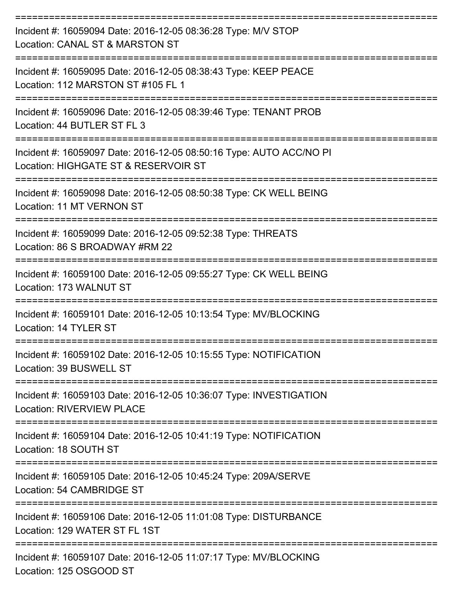| Incident #: 16059094 Date: 2016-12-05 08:36:28 Type: M/V STOP<br>Location: CANAL ST & MARSTON ST            |
|-------------------------------------------------------------------------------------------------------------|
| Incident #: 16059095 Date: 2016-12-05 08:38:43 Type: KEEP PEACE<br>Location: 112 MARSTON ST #105 FL 1       |
| Incident #: 16059096 Date: 2016-12-05 08:39:46 Type: TENANT PROB<br>Location: 44 BUTLER ST FL 3             |
| Incident #: 16059097 Date: 2016-12-05 08:50:16 Type: AUTO ACC/NO PI<br>Location: HIGHGATE ST & RESERVOIR ST |
| Incident #: 16059098 Date: 2016-12-05 08:50:38 Type: CK WELL BEING<br><b>Location: 11 MT VERNON ST</b>      |
| Incident #: 16059099 Date: 2016-12-05 09:52:38 Type: THREATS<br>Location: 86 S BROADWAY #RM 22              |
| Incident #: 16059100 Date: 2016-12-05 09:55:27 Type: CK WELL BEING<br>Location: 173 WALNUT ST               |
| Incident #: 16059101 Date: 2016-12-05 10:13:54 Type: MV/BLOCKING<br>Location: 14 TYLER ST                   |
| Incident #: 16059102 Date: 2016-12-05 10:15:55 Type: NOTIFICATION<br>Location: 39 BUSWELL ST                |
| Incident #: 16059103 Date: 2016-12-05 10:36:07 Type: INVESTIGATION<br><b>Location: RIVERVIEW PLACE</b>      |
| Incident #: 16059104 Date: 2016-12-05 10:41:19 Type: NOTIFICATION<br>Location: 18 SOUTH ST                  |
| Incident #: 16059105 Date: 2016-12-05 10:45:24 Type: 209A/SERVE<br>Location: 54 CAMBRIDGE ST                |
| Incident #: 16059106 Date: 2016-12-05 11:01:08 Type: DISTURBANCE<br>Location: 129 WATER ST FL 1ST           |
| Incident #: 16059107 Date: 2016-12-05 11:07:17 Type: MV/BLOCKING<br>Location: 125 OSGOOD ST                 |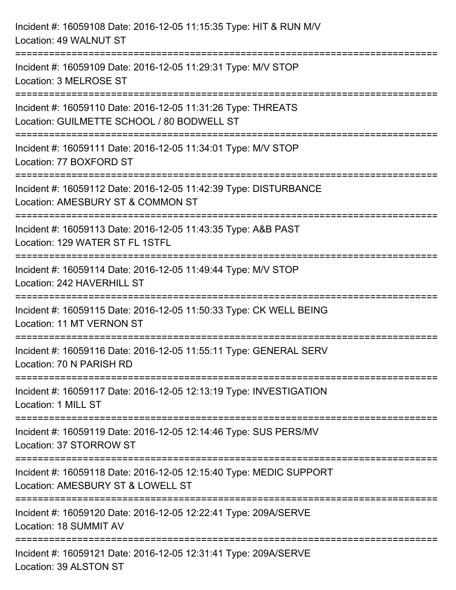| Incident #: 16059108 Date: 2016-12-05 11:15:35 Type: HIT & RUN M/V<br>Location: 49 WALNUT ST                                       |
|------------------------------------------------------------------------------------------------------------------------------------|
| Incident #: 16059109 Date: 2016-12-05 11:29:31 Type: M/V STOP<br>Location: 3 MELROSE ST                                            |
| Incident #: 16059110 Date: 2016-12-05 11:31:26 Type: THREATS<br>Location: GUILMETTE SCHOOL / 80 BODWELL ST                         |
| Incident #: 16059111 Date: 2016-12-05 11:34:01 Type: M/V STOP<br>Location: 77 BOXFORD ST                                           |
| Incident #: 16059112 Date: 2016-12-05 11:42:39 Type: DISTURBANCE<br>Location: AMESBURY ST & COMMON ST                              |
| Incident #: 16059113 Date: 2016-12-05 11:43:35 Type: A&B PAST<br>Location: 129 WATER ST FL 1STFL                                   |
| ===================================<br>Incident #: 16059114 Date: 2016-12-05 11:49:44 Type: M/V STOP<br>Location: 242 HAVERHILL ST |
| Incident #: 16059115 Date: 2016-12-05 11:50:33 Type: CK WELL BEING<br>Location: 11 MT VERNON ST                                    |
| Incident #: 16059116 Date: 2016-12-05 11:55:11 Type: GENERAL SERV<br>Location: 70 N PARISH RD                                      |
| Incident #: 16059117 Date: 2016-12-05 12:13:19 Type: INVESTIGATION<br>Location: 1 MILL ST                                          |
| Incident #: 16059119 Date: 2016-12-05 12:14:46 Type: SUS PERS/MV<br>Location: 37 STORROW ST                                        |
| Incident #: 16059118 Date: 2016-12-05 12:15:40 Type: MEDIC SUPPORT<br>Location: AMESBURY ST & LOWELL ST                            |
| Incident #: 16059120 Date: 2016-12-05 12:22:41 Type: 209A/SERVE<br>Location: 18 SUMMIT AV                                          |
| Incident #: 16059121 Date: 2016-12-05 12:31:41 Type: 209A/SERVE<br>Location: 39 ALSTON ST                                          |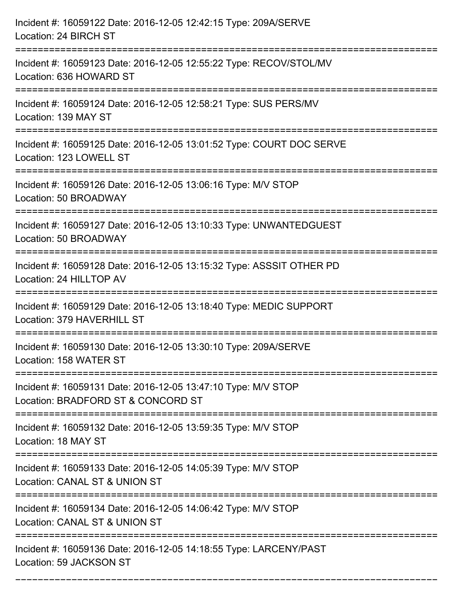| Incident #: 16059122 Date: 2016-12-05 12:42:15 Type: 209A/SERVE<br>Location: 24 BIRCH ST                                      |
|-------------------------------------------------------------------------------------------------------------------------------|
| Incident #: 16059123 Date: 2016-12-05 12:55:22 Type: RECOV/STOL/MV<br>Location: 636 HOWARD ST                                 |
| Incident #: 16059124 Date: 2016-12-05 12:58:21 Type: SUS PERS/MV<br>Location: 139 MAY ST                                      |
| Incident #: 16059125 Date: 2016-12-05 13:01:52 Type: COURT DOC SERVE<br>Location: 123 LOWELL ST                               |
| Incident #: 16059126 Date: 2016-12-05 13:06:16 Type: M/V STOP<br>Location: 50 BROADWAY<br>=================================== |
| Incident #: 16059127 Date: 2016-12-05 13:10:33 Type: UNWANTEDGUEST<br>Location: 50 BROADWAY                                   |
| Incident #: 16059128 Date: 2016-12-05 13:15:32 Type: ASSSIT OTHER PD<br>Location: 24 HILLTOP AV                               |
| Incident #: 16059129 Date: 2016-12-05 13:18:40 Type: MEDIC SUPPORT<br>Location: 379 HAVERHILL ST                              |
| Incident #: 16059130 Date: 2016-12-05 13:30:10 Type: 209A/SERVE<br>Location: 158 WATER ST                                     |
| Incident #: 16059131 Date: 2016-12-05 13:47:10 Type: M/V STOP<br>Location: BRADFORD ST & CONCORD ST                           |
| Incident #: 16059132 Date: 2016-12-05 13:59:35 Type: M/V STOP<br>Location: 18 MAY ST<br>==================                    |
| Incident #: 16059133 Date: 2016-12-05 14:05:39 Type: M/V STOP<br>Location: CANAL ST & UNION ST                                |
| Incident #: 16059134 Date: 2016-12-05 14:06:42 Type: M/V STOP<br>Location: CANAL ST & UNION ST                                |
| Incident #: 16059136 Date: 2016-12-05 14:18:55 Type: LARCENY/PAST<br>Location: 59 JACKSON ST                                  |

===========================================================================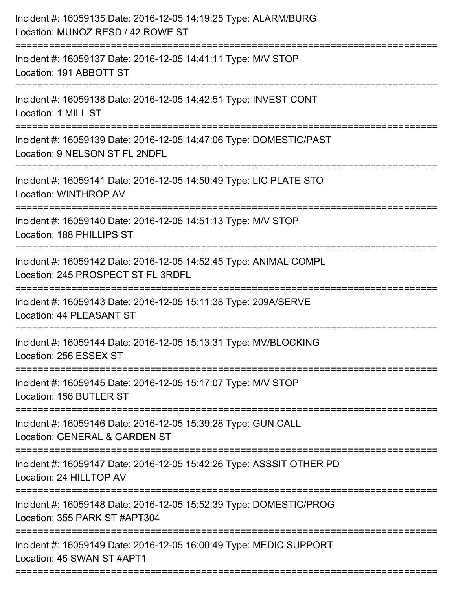| Incident #: 16059135 Date: 2016-12-05 14:19:25 Type: ALARM/BURG<br>Location: MUNOZ RESD / 42 ROWE ST                                 |
|--------------------------------------------------------------------------------------------------------------------------------------|
| Incident #: 16059137 Date: 2016-12-05 14:41:11 Type: M/V STOP<br>Location: 191 ABBOTT ST                                             |
| Incident #: 16059138 Date: 2016-12-05 14:42:51 Type: INVEST CONT<br>Location: 1 MILL ST                                              |
| Incident #: 16059139 Date: 2016-12-05 14:47:06 Type: DOMESTIC/PAST<br>Location: 9 NELSON ST FL 2NDFL                                 |
| Incident #: 16059141 Date: 2016-12-05 14:50:49 Type: LIC PLATE STO<br>Location: WINTHROP AV<br>:==================================== |
| Incident #: 16059140 Date: 2016-12-05 14:51:13 Type: M/V STOP<br>Location: 188 PHILLIPS ST                                           |
| Incident #: 16059142 Date: 2016-12-05 14:52:45 Type: ANIMAL COMPL<br>Location: 245 PROSPECT ST FL 3RDFL                              |
| Incident #: 16059143 Date: 2016-12-05 15:11:38 Type: 209A/SERVE<br>Location: 44 PLEASANT ST                                          |
| Incident #: 16059144 Date: 2016-12-05 15:13:31 Type: MV/BLOCKING<br>Location: 256 ESSEX ST                                           |
| Incident #: 16059145 Date: 2016-12-05 15:17:07 Type: M/V STOP<br>Location: 156 BUTLER ST                                             |
| Incident #: 16059146 Date: 2016-12-05 15:39:28 Type: GUN CALL<br>Location: GENERAL & GARDEN ST                                       |
| Incident #: 16059147 Date: 2016-12-05 15:42:26 Type: ASSSIT OTHER PD<br>Location: 24 HILLTOP AV                                      |
| Incident #: 16059148 Date: 2016-12-05 15:52:39 Type: DOMESTIC/PROG<br>Location: 355 PARK ST #APT304                                  |
| Incident #: 16059149 Date: 2016-12-05 16:00:49 Type: MEDIC SUPPORT<br>Location: 45 SWAN ST #APT1                                     |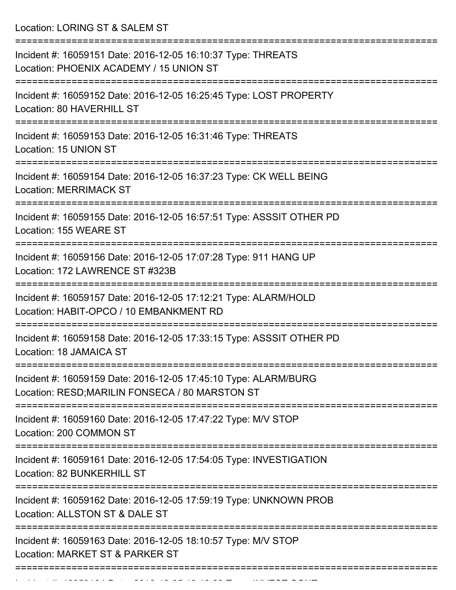Location: LORING ST & SALEM ST

| Incident #: 16059151 Date: 2016-12-05 16:10:37 Type: THREATS<br>Location: PHOENIX ACADEMY / 15 UNION ST                                                         |
|-----------------------------------------------------------------------------------------------------------------------------------------------------------------|
| Incident #: 16059152 Date: 2016-12-05 16:25:45 Type: LOST PROPERTY<br>Location: 80 HAVERHILL ST                                                                 |
| Incident #: 16059153 Date: 2016-12-05 16:31:46 Type: THREATS<br>Location: 15 UNION ST                                                                           |
| Incident #: 16059154 Date: 2016-12-05 16:37:23 Type: CK WELL BEING<br><b>Location: MERRIMACK ST</b>                                                             |
| Incident #: 16059155 Date: 2016-12-05 16:57:51 Type: ASSSIT OTHER PD<br>Location: 155 WEARE ST                                                                  |
| Incident #: 16059156 Date: 2016-12-05 17:07:28 Type: 911 HANG UP<br>Location: 172 LAWRENCE ST #323B                                                             |
| Incident #: 16059157 Date: 2016-12-05 17:12:21 Type: ALARM/HOLD<br>Location: HABIT-OPCO / 10 EMBANKMENT RD                                                      |
| Incident #: 16059158 Date: 2016-12-05 17:33:15 Type: ASSSIT OTHER PD<br>Location: 18 JAMAICA ST                                                                 |
| Incident #: 16059159 Date: 2016-12-05 17:45:10 Type: ALARM/BURG<br>Location: RESD; MARILIN FONSECA / 80 MARSTON ST                                              |
| ================================<br>===============================<br>Incident #: 16059160 Date: 2016-12-05 17:47:22 Type: M/V STOP<br>Location: 200 COMMON ST |
| Incident #: 16059161 Date: 2016-12-05 17:54:05 Type: INVESTIGATION<br>Location: 82 BUNKERHILL ST                                                                |
| Incident #: 16059162 Date: 2016-12-05 17:59:19 Type: UNKNOWN PROB<br>Location: ALLSTON ST & DALE ST                                                             |
| Incident #: 16059163 Date: 2016-12-05 18:10:57 Type: M/V STOP<br>Location: MARKET ST & PARKER ST                                                                |
|                                                                                                                                                                 |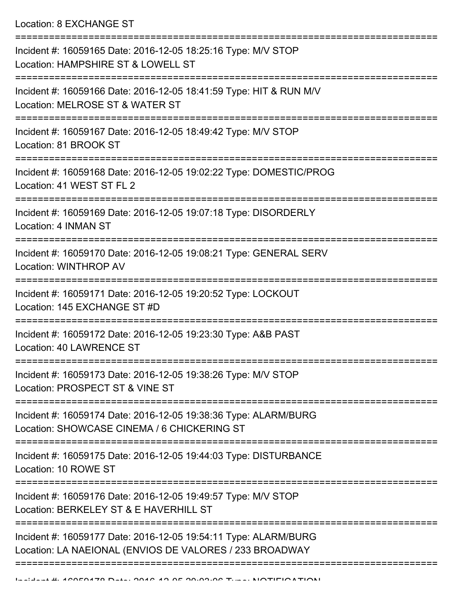Location: 8 EXCHANGE ST

| Incident #: 16059165 Date: 2016-12-05 18:25:16 Type: M/V STOP<br>Location: HAMPSHIRE ST & LOWELL ST                        |
|----------------------------------------------------------------------------------------------------------------------------|
| Incident #: 16059166 Date: 2016-12-05 18:41:59 Type: HIT & RUN M/V<br>Location: MELROSE ST & WATER ST                      |
| Incident #: 16059167 Date: 2016-12-05 18:49:42 Type: M/V STOP<br>Location: 81 BROOK ST                                     |
| Incident #: 16059168 Date: 2016-12-05 19:02:22 Type: DOMESTIC/PROG<br>Location: 41 WEST ST FL 2                            |
| Incident #: 16059169 Date: 2016-12-05 19:07:18 Type: DISORDERLY<br>Location: 4 INMAN ST                                    |
| Incident #: 16059170 Date: 2016-12-05 19:08:21 Type: GENERAL SERV<br>Location: WINTHROP AV                                 |
| =====================<br>Incident #: 16059171 Date: 2016-12-05 19:20:52 Type: LOCKOUT<br>Location: 145 EXCHANGE ST #D      |
| Incident #: 16059172 Date: 2016-12-05 19:23:30 Type: A&B PAST<br>Location: 40 LAWRENCE ST                                  |
| Incident #: 16059173 Date: 2016-12-05 19:38:26 Type: M/V STOP<br>Location: PROSPECT ST & VINE ST                           |
| Incident #: 16059174 Date: 2016-12-05 19:38:36 Type: ALARM/BURG<br>Location: SHOWCASE CINEMA / 6 CHICKERING ST             |
| Incident #: 16059175 Date: 2016-12-05 19:44:03 Type: DISTURBANCE<br>Location: 10 ROWE ST                                   |
| Incident #: 16059176 Date: 2016-12-05 19:49:57 Type: M/V STOP<br>Location: BERKELEY ST & E HAVERHILL ST                    |
| Incident #: 16059177 Date: 2016-12-05 19:54:11 Type: ALARM/BURG<br>Location: LA NAEIONAL (ENVIOS DE VALORES / 233 BROADWAY |
|                                                                                                                            |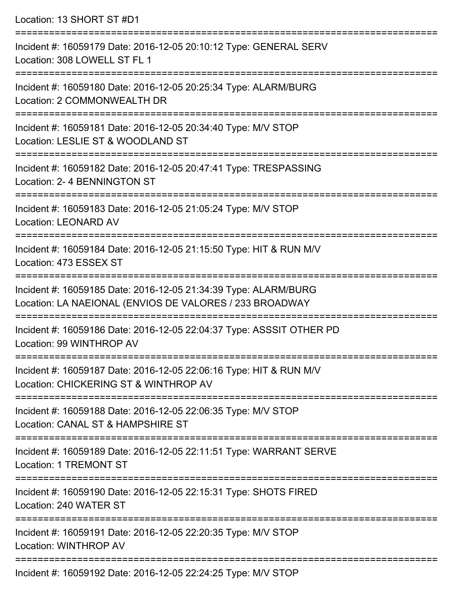Location: 13 SHORT ST #D1 =========================================================================== Incident #: 16059179 Date: 2016-12-05 20:10:12 Type: GENERAL SERV Location: 308 LOWELL ST FL 1 =========================================================================== Incident #: 16059180 Date: 2016-12-05 20:25:34 Type: ALARM/BURG Location: 2 COMMONWEALTH DR =========================================================================== Incident #: 16059181 Date: 2016-12-05 20:34:40 Type: M/V STOP Location: LESLIE ST & WOODLAND ST =========================================================================== Incident #: 16059182 Date: 2016-12-05 20:47:41 Type: TRESPASSING Location: 2- 4 BENNINGTON ST =========================================================================== Incident #: 16059183 Date: 2016-12-05 21:05:24 Type: M/V STOP Location: LEONARD AV =========================================================================== Incident #: 16059184 Date: 2016-12-05 21:15:50 Type: HIT & RUN M/V Location: 473 ESSEX ST =========================================================================== Incident #: 16059185 Date: 2016-12-05 21:34:39 Type: ALARM/BURG Location: LA NAEIONAL (ENVIOS DE VALORES / 233 BROADWAY =========================================================================== Incident #: 16059186 Date: 2016-12-05 22:04:37 Type: ASSSIT OTHER PD Location: 99 WINTHROP AV =========================================================================== Incident #: 16059187 Date: 2016-12-05 22:06:16 Type: HIT & RUN M/V Location: CHICKERING ST & WINTHROP AV =========================================================================== Incident #: 16059188 Date: 2016-12-05 22:06:35 Type: M/V STOP Location: CANAL ST & HAMPSHIRE ST =========================================================================== Incident #: 16059189 Date: 2016-12-05 22:11:51 Type: WARRANT SERVE Location: 1 TREMONT ST =========================================================================== Incident #: 16059190 Date: 2016-12-05 22:15:31 Type: SHOTS FIRED Location: 240 WATER ST =========================================================================== Incident #: 16059191 Date: 2016-12-05 22:20:35 Type: M/V STOP Location: WINTHROP AV ===========================================================================

Incident #: 16059192 Date: 2016-12-05 22:24:25 Type: M/V STOP